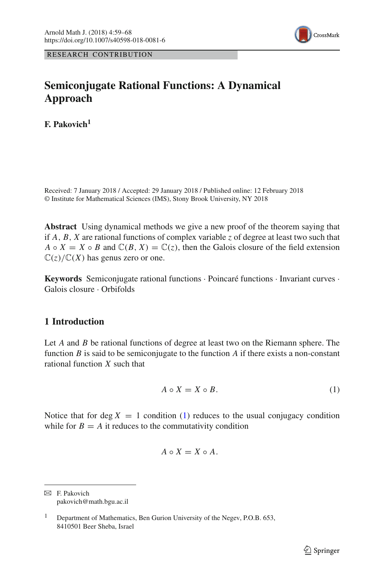

RESEARCH CONTRIBUTION

# **Semiconjugate Rational Functions: A Dynamical Approach**

**F. Pakovich<sup>1</sup>**

Received: 7 January 2018 / Accepted: 29 January 2018 / Published online: 12 February 2018 © Institute for Mathematical Sciences (IMS), Stony Brook University, NY 2018

**Abstract** Using dynamical methods we give a new proof of the theorem saying that if *A*, *B*, *X* are rational functions of complex variable *z* of degree at least two such that  $A \circ X = X \circ B$  and  $\mathbb{C}(B, X) = \mathbb{C}(z)$ , then the Galois closure of the field extension  $\mathbb{C}(z)/\mathbb{C}(X)$  has genus zero or one.

**Keywords** Semiconjugate rational functions · Poincaré functions · Invariant curves · Galois closure · Orbifolds

# **1 Introduction**

Let *A* and *B* be rational functions of degree at least two on the Riemann sphere. The function *B* is said to be semiconjugate to the function *A* if there exists a non-constant rational function *X* such that

<span id="page-0-0"></span>
$$
A \circ X = X \circ B. \tag{1}
$$

Notice that for deg  $X = 1$  condition [\(1\)](#page-0-0) reduces to the usual conjugacy condition while for  $B = A$  it reduces to the commutativity condition

$$
A \circ X = X \circ A.
$$

 $\boxtimes$  F. Pakovich pakovich@math.bgu.ac.il

<sup>&</sup>lt;sup>1</sup> Department of Mathematics, Ben Gurion University of the Negev, P.O.B.  $653$ , 8410501 Beer Sheba, Israel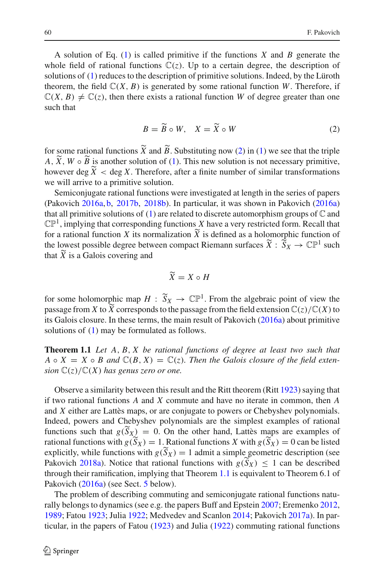A solution of Eq. [\(1\)](#page-0-0) is called primitive if the functions *X* and *B* generate the whole field of rational functions  $\mathbb{C}(z)$ . Up to a certain degree, the description of solutions of [\(1\)](#page-0-0) reduces to the description of primitive solutions. Indeed, by the Lüroth theorem, the field  $\mathbb{C}(X, B)$  is generated by some rational function *W*. Therefore, if  $\mathbb{C}(X, B) \neq \mathbb{C}(z)$ , then there exists a rational function *W* of degree greater than one such that<br>  $B = \widetilde{B} \circ W$ ,  $X = \widetilde{X} \circ W$  (2) such that

<span id="page-1-0"></span>
$$
B = \widetilde{B} \circ W, \quad X = \widetilde{X} \circ W \tag{2}
$$

 $B = \widetilde{B} \circ W$ ,  $X = \widetilde{X} \circ W$  [\(2\)](#page-1-0)<br>for some rational functions  $\widetilde{X}$  and  $\widetilde{B}$ . Substituting now (2) in [\(1\)](#page-0-0) we see that the triple for some ratio<br>*A*,  $\widetilde{X}$ ,  $W \circ \widetilde{B}$ *A*,  $\widetilde{X}$ ,  $W \circ \widetilde{B}$  is another solution of [\(1\)](#page-0-0). This new solution is not necessary primitive, for some ration<br>A,  $\widetilde{X}$ ,  $W \circ \widetilde{B}$  is<br>however deg  $\widetilde{X}$ however deg  $\widetilde{X}$  < deg X. Therefore, after a finite number of similar transformations we will arrive to a primitive solution.

Semiconjugate rational functions were investigated at length in the series of papers (Pakovic[h](#page-9-0) [2016a,](#page-9-0) [b,](#page-9-1) [2017b](#page-9-2), [2018b](#page-9-3)). In particular, it was shown in Pakovic[h](#page-9-0) [\(2016a\)](#page-9-0) that all primitive solutions of  $(1)$  are related to discrete automorphism groups of  $\mathbb C$  and  $\mathbb{CP}^1$ , implying that corresponding functions *X* have a very restricted form. Recall that (Pakovich 2016a, b, 2017b, 2018b). In particular, it was shown in Pakovich (2016a) that all primitive solutions of (1) are related to discrete automorphism groups of  $\mathbb C$  and  $\mathbb{CP}^1$ , implying that corresponding func that all primitive solutions of (1) are related to discrete automorphism groups of  $\mathbb C$  and  $\mathbb{CP}^1$ , implying that corresponding functions *X* have a very restricted form. Recall that for a rational function *X* its  $\mathbb{CP}^1$ , if<br>for a rather low<br>that  $\widetilde{X}$ that  $\overline{X}$  is a Galois covering and .<br>م

$$
\widetilde{X} = X \circ H
$$

 $\widetilde{X} = X \circ H$ <br>for some holomorphic map  $H : \widetilde{S}_X \to \mathbb{CP}^1$ . From the algebraic point of view the for some holomorph<br>passage from *X* to  $\widetilde{X}$ passage from X to  $\widetilde{X}$  corresponds to the passage from the field extension  $\mathbb{C}(z)/\mathbb{C}(X)$  to its Galois closure. In these terms, the main result of Pakovic[h](#page-9-0) [\(2016a](#page-9-0)) about primitive solutions of [\(1\)](#page-0-0) may be formulated as follows.

<span id="page-1-1"></span>**Theorem 1.1** *Let A*, *B*, *X be rational functions of degree at least two such that*  $A \circ X = X \circ B$  and  $\mathbb{C}(B, X) = \mathbb{C}(z)$ . Then the Galois closure of the field exten*sion*  $\mathbb{C}(z)/\mathbb{C}(X)$  *has genus zero or one.* 

Observe a similarity between this result and the Ritt theorem (Rit[t](#page-9-4) [1923](#page-9-4)) saying that if two rational functions *A* and *X* commute and have no iterate in common, then *A* and *X* either are Lattès maps, or are conjugate to powers or Chebyshev polynomials. Indeed, powers and Chebyshev polynomials are the s and *X* either are Lattès maps, or are conjugate to powers or Chebyshev polynomials. Indeed, powers and Chebyshev polynomials are the simplest examples of rational functions such that  $g(S_X) = 0$ . On the other hand, Lattès maps are examples of and *X* either are Lattès maps, or are conjugate to powers or Chebyshev polynomials.<br>Indeed, powers and Chebyshev polynomials are the simplest examples of rational<br>functions such that  $g(\tilde{S}_X) = 0$ . On the other hand, La Indeed, powers and Chebyshev po<br>functions such that  $g(\tilde{S}_X) = 0$ . C<br>rational functions with  $g(\tilde{S}_X) = 1$ . I<br>explicitly, while functions with  $g(\tilde{S})$ explicitly, while functions with  $g(S_X) = 1$  admit a simple geometric description (see functions suc[h](#page-9-5) that  $g(S_X) = 0$ . On the other hand, Latt<br>rational functions with  $g(S_X) = 1$ . Rational functions X witexplicitly, while functions with  $g(S_X) = 1$  admit a simple g<br>Pakovich [2018a](#page-9-5)). Notice that rational functions Pakovich 2018a). Notice that rational functions with  $g(S_X) \leq 1$  can be described through their ramification, implying that Theorem [1.1](#page-1-1) is equivalent to Theorem 6.1 of Pakovic[h](#page-9-0) [\(2016a\)](#page-9-0) (see Sect. [5](#page-7-0) below).

The problem of describing commuting and semiconjugate rational functions naturally belongs to dynamics (see e.g. the papers Buff and Epstei[n](#page-8-0) [2007](#page-8-0); Eremenk[o](#page-8-1) [2012,](#page-8-1) [1989;](#page-8-2) Fato[u](#page-8-3) [1923](#page-8-3); Juli[a](#page-8-4) [1922](#page-8-4); Medvedev and Scanlo[n](#page-8-5) [2014;](#page-8-5) Pakovic[h](#page-9-6) [2017a\)](#page-9-6). In particular, in the papers of Fato[u](#page-8-3) [\(1923](#page-8-3)) and Juli[a](#page-8-4) [\(1922](#page-8-4)) commuting rational functions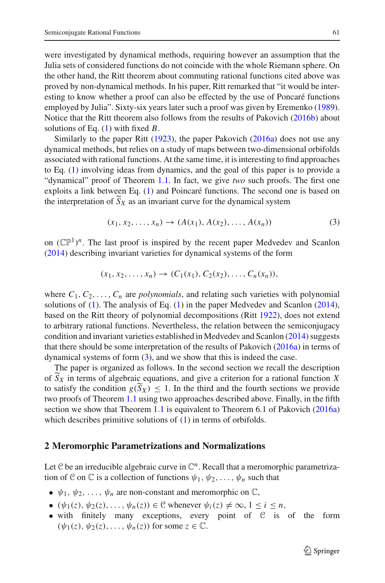were investigated by dynamical methods, requiring however an assumption that the Julia sets of considered functions do not coincide with the whole Riemann sphere. On the other hand, the Ritt theorem about commuting rational functions cited above was proved by non-dynamical methods. In his paper, Ritt remarked that "it would be interesting to know whether a proof can also be effected by the use of Poncaré functions employed by Julia". Sixty-six years later such a proof was given by Eremenk[o](#page-8-2) [\(1989](#page-8-2)). Notice that the Ritt theorem also follows from the results of Pakovic[h](#page-9-1) [\(2016b\)](#page-9-1) about solutions of Eq. [\(1\)](#page-0-0) with fixed *B*.

Similarly [t](#page-9-4)o t[h](#page-9-0)e paper Ritt  $(1923)$ , the paper Pakovich  $(2016a)$  $(2016a)$  does not use any dynamical methods, but relies on a study of maps between two-dimensional orbifolds associated with rational functions. At the same time, it is interesting to find approaches to Eq. [\(1\)](#page-0-0) involving ideas from dynamics, and the goal of this paper is to provide a "dynamical" proof of Theorem [1.1.](#page-1-1) In fact, we give *two* such proofs. The first one exploits a link between Eq. [\(1\)](#page-0-0) and Poincaré functions. The second one is based on to Eq. (1) involving ideas from dynamics, and the goal of this paper if dynamical" proof of Theorem 1.1. In fact, we give *two* such proofs exploits a link between Eq. (1) and Poincaré functions. The second of the interpr

<span id="page-2-0"></span>
$$
(x_1, x_2, \dots, x_n) \to (A(x_1), A(x_2), \dots, A(x_n))
$$
 (3)

o[n](#page-8-5)  $(\mathbb{CP}^1)^n$ . The last proof is inspired by the recent paper Medvedev and Scanlon [\(2014\)](#page-8-5) describing invariant varieties for dynamical systems of the form

$$
(x_1, x_2, \ldots, x_n) \to (C_1(x_1), C_2(x_2), \ldots, C_n(x_n)),
$$

where  $C_1, C_2, \ldots, C_n$  are *polynomials*, and relating such varieties with polynomial solutions of [\(1\)](#page-0-0). The analysis of Eq. [\(1\)](#page-0-0) in the paper Medvedev and Scanlo[n](#page-8-5) [\(2014](#page-8-5)), based on the Ritt theory of polynomial decompositions (Rit[t](#page-9-7) [1922](#page-9-7)), does not extend to arbitrary rational functions. Nevertheless, the relation between the semiconjugacy condition and invariant varieties established in Medvedev and Scanlo[n](#page-8-5) [\(2014](#page-8-5)) suggests that there should be some interpretation of the results of Pakovic[h](#page-9-0) [\(2016a\)](#page-9-0) in terms of dynamical systems of form  $(3)$ , and we show that this is indeed the case. that there should be some interpretation of the results of Pakovich (2016a) in terms of dynamical systems of form (3), and we show that this is indeed the case.<br>The paper is organized as follows. In the second section we

The paper is organized as follows. In the second section we recall the description dynamical systems of form (<br>The paper is organized as<br>of  $\widetilde{S}_X$  in terms of algebraic<br>to satisfy the condition  $g(\widetilde{S})$ to satisfy the condition  $g(S_X) \leq 1$ . In the third and the fourth sections we provide two proofs of Theorem [1.1](#page-1-1) using two approaches described above. Finally, in the fifth section we show that Theorem [1.1](#page-1-1) is equivalent to Theorem 6.1 of Pakovic[h](#page-9-0) [\(2016a\)](#page-9-0) which describes primitive solutions of  $(1)$  in terms of orbifolds.

#### **2 Meromorphic Parametrizations and Normalizations**

Let  $C$  be an irreducible algebraic curve in  $\mathbb{C}^n$ . Recall that a meromorphic parametrization of C on C is a collection of functions  $\psi_1, \psi_2, \dots, \psi_n$  such that

- $\psi_1, \psi_2, \ldots, \psi_n$  are non-constant and meromorphic on  $\mathbb{C}$ ,
- $(\psi_1(z), \psi_2(z), \dots, \psi_n(z)) \in \mathcal{C}$  whenever  $\psi_i(z) \neq \infty, 1 \leq i \leq n$ ,
- with finitely many exceptions, every point of  $C$  is of the form  $(\psi_1(z), \psi_2(z), \ldots, \psi_n(z))$  for some  $z \in \mathbb{C}$ .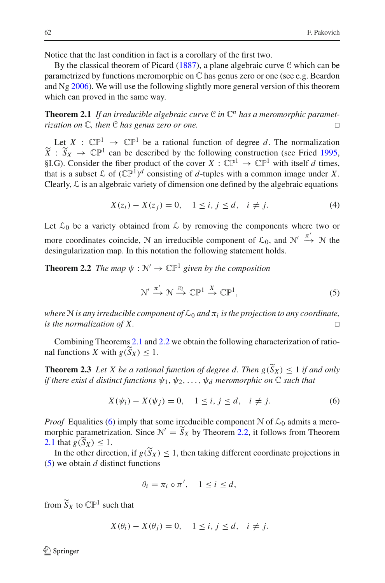Notice that the last condition in fact is a corollary of the first two.

By the classical theorem of Picar[d](#page-9-8) [\(1887](#page-9-8)), a plane algebraic curve  $C$  which can be parametrized by functions meromorphic on C has genus zero or one (see e.g. Beardon and  $Ng\ 2006$  $Ng\ 2006$  $Ng\ 2006$  $Ng\ 2006$ ). We will use the following slightly more general version of this theorem which can proved in the same way.

<span id="page-3-0"></span>**Theorem 2.1** If an irreducible algebraic curve  $C$  in  $C<sup>n</sup>$  has a meromorphic paramet*rization on* <sup>C</sup>*, then* <sup>C</sup> *has genus zero or one.* 

Let  $X : \mathbb{CP}^1 \to \mathbb{CP}^1$  be a rational function of degree *d*. The normalization **Theorem 2.1** *If an irrealicible algebraic curve*  $C$  *in*  $C^*$  *nas a meromorphic parametrization on*  $C$ *, then*  $C$  *has genus zero or one.*<br>
Let  $X : \mathbb{CP}^1 \to \mathbb{CP}^1$  be a rational function of [d](#page-8-7)egree *d*. The norma §I.G). Consider the fiber product of the cover  $X : \mathbb{CP}^1 \to \mathbb{CP}^1$  with itself *d* times, that is a subset  $\mathcal L$  of  $(\mathbb{CP}^1)^d$  consisting of *d*-tuples with a common image under *X*. Clearly,  $\mathcal L$  is an algebraic variety of dimension one defined by the algebraic equations

<span id="page-3-5"></span>
$$
X(z_i) - X(z_j) = 0, \quad 1 \le i, j \le d, \quad i \ne j.
$$
 (4)

Let  $\mathcal{L}_0$  be a variety obtained from  $\mathcal L$  by removing the components where two or more coordinates coincide, N an irreducible component of  $\mathcal{L}_0$ , and  $\mathcal{N}' \stackrel{\pi'}{\rightarrow} \mathcal{N}$  the desingularization map. In this notation the following statement holds.

<span id="page-3-1"></span>**Theorem 2.2** *The map*  $\psi : \mathbb{N}' \to \mathbb{CP}^1$  *given by the composition* 

<span id="page-3-3"></span>
$$
\mathcal{N}' \xrightarrow{\pi'} \mathcal{N} \xrightarrow{\pi_i} \mathbb{CP}^1 \xrightarrow{X} \mathbb{CP}^1,\tag{5}
$$

*where* N *is any irreducible component of*  $\mathcal{L}_0$  *and*  $\pi_i$  *is the projection to any coordinate, is the normalization of X.* 

Combining Theorems [2.1](#page-3-0) and [2.2](#page-3-1) we obtain the following characterization of ratiowhere *N* is any irreducible composition of *X*.<br>
Combining Theorems 2.1 and<br>
nal functions *X* with  $g(S_X) \leq 1$ . Combining Theorems 2.1 and 2.2 we obtain the following characterization of rational functions *X* with *g*( $\widetilde{S}_X$ ) ≤ 1.<br>**Theorem 2.3** *Let X be a rational function of degree d. Then g*( $\widetilde{S}_X$ ) ≤ 1 *if and only* 

<span id="page-3-4"></span>*if there exist d distinct functions* ψ1, ψ2,...,ψ*<sup>d</sup> meromorphic on* C *such that*

<span id="page-3-2"></span>
$$
X(\psi_i) - X(\psi_j) = 0, \quad 1 \le i, j \le d, \quad i \ne j.
$$
 (6)

*Proof* Equalities [\(6\)](#page-3-2) imply that some irreducible component  $N$  of  $\mathcal{L}_0$  admits a meromorphic parametrization. Since  $\mathcal{N}' = S_X$  by Theorem [2.2,](#page-3-1) it follows from Theorem = 0,<br>
me irre<br>  $y' = \widetilde{S}_1$ *Proof* Equal morphic par <br>[2.1](#page-3-0) that  $g(S)$ 2.1 that  $g(S_X) < 1$ . soof Equalities (6) imply that<br>
In the parametrization. Since<br>
that  $g(\widetilde{S}_X) \leq 1$ .<br>
In the other direction, if  $g(\widetilde{S})$ 

In the other direction, if  $g(S_X) \leq 1$ , then taking different coordinate projections in [\(5\)](#page-3-3) we obtain *d* distinct functions

$$
\theta_i = \pi_i \circ \pi', \quad 1 \leq i \leq d,
$$

from  $\tilde{S}_X$  to  $\mathbb{CP}^1$  such that

$$
X(\theta_i) - X(\theta_j) = 0, \quad 1 \le i, j \le d, \quad i \ne j.
$$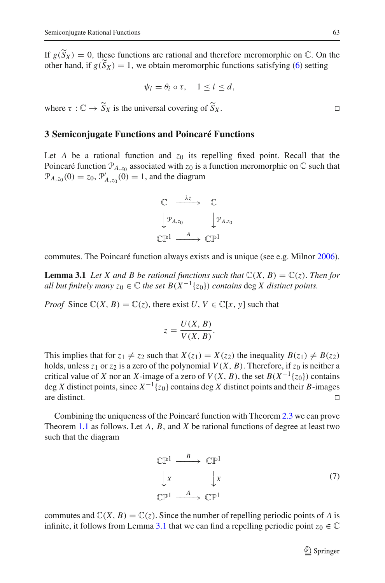Semiconjugate Rational Functions<br>
If  $g(\widetilde{S}_X) = 0$ , these functions are rational and therefore meromorphic on  $\mathbb{C}$ . On the Semiconjugate Rationa<br>
If  $g(\widetilde{S}_X) = 0$ , the<br>
other hand, if  $g(\widetilde{S}_X)$ other hand, if  $g(\tilde{S}_X) = 1$ , we obtain meromorphic functions satisfying [\(6\)](#page-3-2) setting

$$
\psi_i = \theta_i \circ \tau, \quad 1 \leq i \leq d,
$$

 $\psi_i = \theta_i \circ \tau, \quad 1 \leq i$ <br>where  $\tau : \mathbb{C} \to \widetilde{S}_X$  is the universal covering of  $\widetilde{S}_1$  $S_X$ .

#### **3 Semiconjugate Functions and Poincaré Functions**

Let *A* be a rational function and  $z_0$  its repelling fixed point. Recall that the Poincaré function  $P_{A,z_0}$  associated with  $z_0$  is a function meromorphic on  $\mathbb C$  such that  $\mathcal{P}_{A,z_0}(0) = z_0, \mathcal{P}'_{A,z_0}(0) = 1$ , and the diagram



<span id="page-4-0"></span>commutes. The Poincaré function always exists and is unique (see e.g. Milno[r](#page-8-8) [2006](#page-8-8)).

**Lemma 3.1** Let X and B be rational functions such that  $\mathbb{C}(X, B) = \mathbb{C}(z)$ . Then for *all but finitely many*  $z_0 \in \mathbb{C}$  *the set B*( $X^{-1}{z_0}$ ) *contains* deg *X* distinct points.

*Proof* Since  $\mathbb{C}(X, B) = \mathbb{C}(z)$ , there exist *U*,  $V \in \mathbb{C}[x, y]$  such that

$$
z = \frac{U(X, B)}{V(X, B)}.
$$

This implies that for  $z_1 \neq z_2$  such that  $X(z_1) = X(z_2)$  the inequality  $B(z_1) \neq B(z_2)$ holds, unless  $z_1$  or  $z_2$  is a zero of the polynomial  $V(X, B)$ . Therefore, if  $z_0$  is neither a critical value of *X* nor an *X*-image of a zero of  $V(X, B)$ , the set  $B(X^{-1}{z_0})$  contains deg *X* distinct points, since  $X^{-1}\{z_0\}$  contains deg *X* distinct points and their *B*-images are distinct. are distinct.  $\Box$ 

Combining the uniqueness of the Poincaré function with Theorem [2.3](#page-3-4) we can prove Theorem [1.1](#page-1-1) as follows. Let *A*, *B*, and *X* be rational functions of degree at least two such that the diagram

> <span id="page-4-1"></span> $\mathbb{CP}^1 \xrightarrow{B} \mathbb{CP}^1$  *X X*  $\mathbb{C} \mathbb{P}^1$   $\overset{A}{\longrightarrow} \mathbb{C} \mathbb{P}^1$ (7)

commutes and  $\mathbb{C}(X, B) = \mathbb{C}(z)$ . Since the number of repelling periodic points of A is infinite, it follows from Lemma [3.1](#page-4-0) that we can find a repelling periodic point  $z_0 \in \mathbb{C}$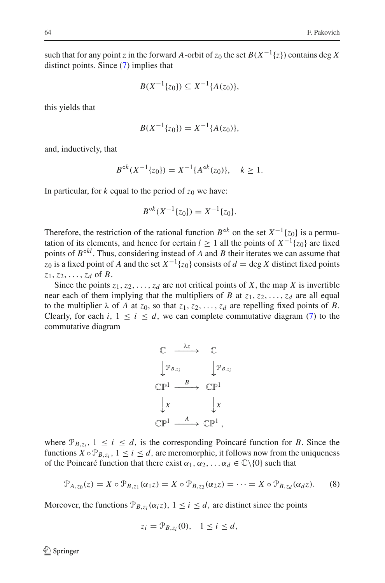such that for any point *z* in the forward *A*-orbit of  $z_0$  the set  $B(X^{-1}{z})$  contains deg *X* distinct points. Since [\(7\)](#page-4-1) implies that

$$
B(X^{-1}{z_0}) \subseteq X^{-1}{A(z_0)},
$$

this yields that

$$
B(X^{-1}{z_0}) = X^{-1}{A(z_0)},
$$

and, inductively, that

$$
B^{\circ k}(X^{-1}\{z_0\}) = X^{-1}\{A^{\circ k}(z_0)\}, \quad k \ge 1.
$$

In particular, for  $k$  equal to the period of  $z_0$  we have:

$$
B^{\circ k}(X^{-1}\{z_0\}) = X^{-1}\{z_0\}.
$$

Therefore, the restriction of the rational function  $B^{\circ k}$  on the set  $X^{-1}{z_0}$  is a permutation of its elements, and hence for certain  $l \ge 1$  all the points of  $X^{-1}{z_0}$  are fixed points of  $B^{\circ kl}$ . Thus, considering instead of *A* and *B* their iterates we can assume that *z*<sub>0</sub> is a fixed point of *A* and the set  $X^{-1}{z_0}$  consists of  $d = \text{deg } X$  distinct fixed points *z*1,*z*2,...,*zd* of *B*.

Since the points  $z_1, z_2, \ldots, z_d$  are not critical points of *X*, the map *X* is invertible near each of them implying that the multipliers of *B* at  $z_1, z_2, \ldots, z_d$  are all equal to the multiplier  $\lambda$  of *A* at  $z_0$ , so that  $z_1, z_2, \ldots, z_d$  are repelling fixed points of *B*. Clearly, for each *i*,  $1 \le i \le d$ , we can complete commutative diagram [\(7\)](#page-4-1) to the commutative diagram



where  $\mathcal{P}_{B,z_i}$ ,  $1 \leq i \leq d$ , is the corresponding Poincaré function for *B*. Since the functions  $X \circ \mathcal{P}_{B,z_i}$ ,  $1 \leq i \leq d$ , are meromorphic, it follows now from the uniqueness of the Poincaré function that there exist  $\alpha_1, \alpha_2, \ldots, \alpha_d \in \mathbb{C} \setminus \{0\}$  such that

<span id="page-5-0"></span>
$$
\mathcal{P}_{A,z_0}(z) = X \circ \mathcal{P}_{B,z_1}(\alpha_1 z) = X \circ \mathcal{P}_{B,z_2}(\alpha_2 z) = \dots = X \circ \mathcal{P}_{B,z_d}(\alpha_d z). \tag{8}
$$

Moreover, the functions  $\mathcal{P}_{B,z_i}(\alpha_i z)$ ,  $1 \leq i \leq d$ , are distinct since the points

$$
z_i = \mathcal{P}_{B,z_i}(0), \quad 1 \leq i \leq d,
$$

 $\circled{2}$  Springer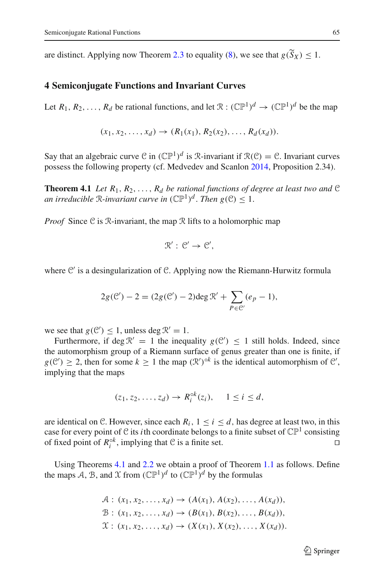Semiconjugate Rational Functions<br>
are distinct. Applying now Theorem [2.3](#page-3-4) to equality [\(8\)](#page-5-0), we see that  $g(\widetilde{S}_X) \leq 1$ .

## **4 Semiconjugate Functions and Invariant Curves**

Let  $R_1, R_2, \ldots, R_d$  be rational functions, and let  $\mathcal{R} : (\mathbb{CP}^1)^d \to (\mathbb{CP}^1)^d$  be the man

$$
(x_1, x_2, \ldots, x_d) \to (R_1(x_1), R_2(x_2), \ldots, R_d(x_d)).
$$

<span id="page-6-0"></span>Say that an algebraic curve C in  $(\mathbb{CP}^1)^d$  is R-invariant if  $\mathcal{R}(\mathcal{C}) = \mathcal{C}$ . Invariant curves possess the following property (cf. Medvedev and Scanlo[n](#page-8-5) [2014,](#page-8-5) Proposition 2.34).

**Theorem 4.1** *Let*  $R_1, R_2, \ldots, R_d$  *be rational functions of degree at least two and*  $\mathcal{C}$ *an irreducible*  $\mathbb{R}$ *-invariant curve in*  $(\mathbb{CP}^1)^d$ *. Then*  $g(\mathcal{C}) < 1$ *.* 

*Proof* Since C is R-invariant, the map R lifts to a holomorphic map

$$
\mathcal{R}':\mathcal{C}'\to\mathcal{C}',
$$

where C' is a desingularization of C. Applying now the Riemann-Hurwitz formula

singularization of C. Applying now the Riemann-H  

$$
2g(\mathcal{C}') - 2 = (2g(\mathcal{C}') - 2) \deg \mathcal{R}' + \sum_{P \in \mathcal{C}'} (e_P - 1),
$$

we see that  $g(\mathcal{C}') \leq 1$ , unless deg  $\mathcal{R}' = 1$ .

Furthermore, if deg  $\mathcal{R}' = 1$  the inequality  $g(\mathcal{C}') \leq 1$  still holds. Indeed, since the automorphism group of a Riemann surface of genus greater than one is finite, if  $g(\mathcal{C}') \geq 2$ , then for some  $k \geq 1$  the map  $(\mathcal{R}')^{\circ k}$  is the identical automorphism of  $\mathcal{C}'$ , implying that the maps

$$
(z_1, z_2, \ldots, z_d) \to R_i^{\circ k}(z_i), \quad 1 \leq i \leq d,
$$

are identical on C. However, since each  $R_i$ ,  $1 \le i \le d$ , has degree at least two, in this case for every point of C its *i*th coordinate belongs to a finite subset of  $\mathbb{CP}^1$  consisting of fixed point of  $R_i^{\circ k}$ , implying that C is a finite set.

Using Theorems [4.1](#page-6-0) and [2.2](#page-3-1) we obtain a proof of Theorem [1.1](#page-1-1) as follows. Define the maps A, B, and X from  $(\mathbb{CP}^1)^d$  to  $(\mathbb{CP}^1)^d$  by the formulas

$$
A: (x_1, x_2, ..., x_d) \to (A(x_1), A(x_2), ..., A(x_d)),
$$
  
\n
$$
B: (x_1, x_2, ..., x_d) \to (B(x_1), B(x_2), ..., B(x_d)),
$$
  
\n
$$
X: (x_1, x_2, ..., x_d) \to (X(x_1), X(x_2), ..., X(x_d)).
$$

 $\mathcal{D}$  Springer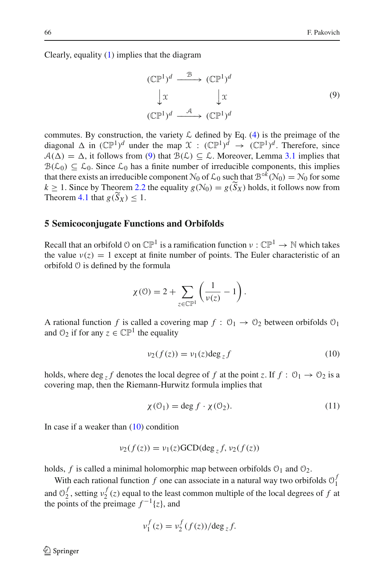Clearly, equality [\(1\)](#page-0-0) implies that the diagram

<span id="page-7-1"></span>
$$
(\mathbb{CP}^1)^d \xrightarrow{\mathcal{B}} (\mathbb{CP}^1)^d
$$
  

$$
\downarrow x \qquad \qquad \downarrow x
$$
  

$$
(\mathbb{CP}^1)^d \xrightarrow{\mathcal{A}} (\mathbb{CP}^1)^d
$$
  
(9)

commutes. By construction, the variety  $\mathcal L$  defined by Eq. [\(4\)](#page-3-5) is the preimage of the diagonal  $\Delta$  in  $({\mathbb{CP}}^1)^d$  under the map  $\mathfrak{X}$  :  $({\mathbb{CP}}^1)^d \to ({\mathbb{CP}}^1)^d$ . Therefore, since  $A(\Delta) = \Delta$ , it follows from [\(9\)](#page-7-1) that  $B(\mathcal{L}) \subseteq \mathcal{L}$ . Moreover, Lemma [3.1](#page-4-0) implies that  $B(\mathcal{L}_0) \subseteq \mathcal{L}_0$ . Since  $\mathcal{L}_0$  has a finite number of irreducible components, this implies that there exists an irreducible co  $\mathcal{B}(\mathcal{L}_0) \subseteq \mathcal{L}_0$ . Since  $\mathcal{L}_0$  has a finite number of irreducible components, this implies that there exists an irreducible component  $\mathcal{N}_0$  of  $\mathcal{L}_0$  such that  $\mathcal{B}^{\circ k}(\mathcal{N}_0) = \mathcal{N}_0$  for some  $k > 1$ . Since by Theorem 2.2 the equality  $g(\mathcal{N}_0) = g(\widetilde{S}_X)$  holds, it follows now from  $B(\mathcal{L}_0) \subseteq \mathcal{L}_0$ . Since  $\mathcal{L}_0$ <br>that there exists an irre<br> $k \geq 1$ . Since by Theor<br>Theorem [4.1](#page-6-0) that  $g(\widetilde{S})$ Theorem 4.1 that  $g(S_X) \leq 1$ .

#### <span id="page-7-0"></span>**5 Semicoconjugate Functions and Orbifolds**

Recall that an orbifold  $\emptyset$  on  $\mathbb{CP}^1$  is a ramification function  $\nu : \mathbb{CP}^1 \to \mathbb{N}$  which takes the value  $v(z) = 1$  except at finite number of points. The Euler characteristic of an orbifold 0 is defined by the formula<br> $\chi(0) = 2 + \sum_{v(z)} \left( \frac{1}{v(z)} - 1 \right)$ . orbifold O is defined by the formula

$$
\chi(\mathcal{O}) = 2 + \sum_{z \in \mathbb{CP}^1} \left( \frac{1}{\nu(z)} - 1 \right).
$$

A rational function *f* is called a covering map  $f : \mathcal{O}_1 \to \mathcal{O}_2$  between orbifolds  $\mathcal{O}_1$ and  $\mathcal{O}_2$  if for any  $z \in \mathbb{CP}^1$  the equality

<span id="page-7-2"></span>
$$
\nu_2(f(z)) = \nu_1(z) \deg_z f \tag{10}
$$

holds, where deg  $_Z f$  denotes the local degree of f at the point z. If  $f : \mathcal{O}_1 \to \mathcal{O}_2$  is a covering map, then the Riemann-Hurwitz formula implies that

<span id="page-7-3"></span>
$$
\chi(\mathcal{O}_1) = \deg f \cdot \chi(\mathcal{O}_2). \tag{11}
$$

In case if a weaker than  $(10)$  condition

$$
\nu_2(f(z)) = \nu_1(z) \text{GCD}(\text{deg}_z f, \nu_2(f(z))
$$

holds,  $f$  is called a minimal holomorphic map between orbifolds  $\mathcal{O}_1$  and  $\mathcal{O}_2$ .

With each rational function *f* one can associate in a natural way two orbifolds  $\mathcal{O}_1^f$ and  $\mathcal{O}_2^f$ , setting  $v_2^f(z)$  equal to the least common multiple of the local degrees of *f* at the points of the preimage  $f^{-1}{z}$ , and

$$
v_1^f(z) = v_2^f(f(z)) / \deg_z f.
$$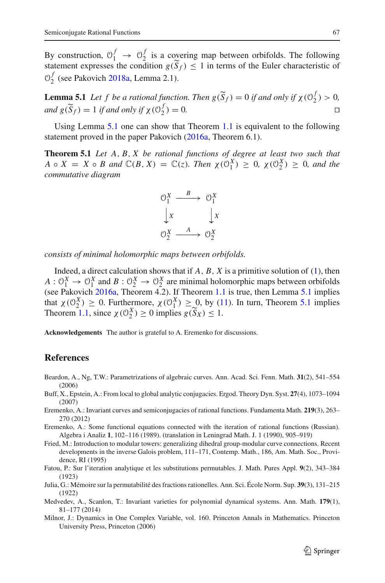By construction,  $\mathcal{O}_1^f \rightarrow \mathcal{O}_2^f$  is a covering map between orbifolds. The following Semiconjugate Rational Functions<br>
By construction,  $O_1^f \rightarrow O_2^f$  is a covering map between orbifolds. The following<br>
statement expresses the condition  $g(\widetilde{S}_f) \le 1$  in terms of the Euler characteristic of  $\mathcal{O}_2^f$  $\mathcal{O}_2^f$  $\mathcal{O}_2^f$  (see Pakovich [2018a](#page-9-5), Lemma 2.1). **Lemma 5.1** *Let f be a rational function. Then*  $g(\widetilde{S}_f) \le 1$  *in terms of the Euler characteristic of*  $\mathcal{O}_2^f$  (see Pakovich 2018a, Lemma 2.1).<br>**Lemma 5.1** *Let f be a rational function. Then*  $g(\widetilde{S}_f) = 0$  *if a* 

<span id="page-8-9"></span> $\mathcal{O}_2^f$  (see<br>**Lemma**<br>*and*  $g(\widetilde{S}_2)$  $\widetilde{S}_f$  ) = 1 *if and only if*  $\chi(\mathcal{O}_2^f) = 0$ .

<span id="page-8-10"></span>Using Lemma [5.1](#page-8-9) one can show that Theorem [1.1](#page-1-1) is equivalent to the following statement proved in the paper Pakovich [\(2016a,](#page-9-0) Theorem 6.1).

**Theorem 5.1** *Let A*, *B*, *X be rational functions of degree at least two such that A* ∘ *X* = *X* ∘ *B* and  $\mathbb{C}(B, X) = \mathbb{C}(z)$ *. Then*  $\chi(\mathbb{O}_1^X) \geq 0$ *,*  $\chi(\mathbb{O}_2^X) \geq 0$ *, and the commutative diagram commutative diagram*



*consists of minimal holomorphic maps between orbifolds.*

Indeed, a direct calculation shows that if *A*, *B*, *X* is a primitive solution of [\(1\)](#page-0-0), then  $A: \mathcal{O}_1^X \to \mathcal{O}_1^X$  and  $B: \mathcal{O}_2^X \to \mathcal{O}_2^X$  are minimal holomorphic maps between orbifolds (see Pakovic[h](#page-9-0) [2016a](#page-9-0), Theorem 4.2). If Theorem [1.1](#page-1-1) is true, then Lemma [5.1](#page-8-9) implies that  $\chi(\mathcal{O}_2^X) \geq 0$ . Furthermore,  $\chi(\mathcal{O}_1^X) \geq 0$ , by [\(11\)](#page-7-3). In turn, Theorem [5.1](#page-8-10) implies  $A: 0_1^X \rightarrow 0_1^X$  and  $B: 0_2^X \rightarrow 0_2^X$  are minimal hold<br>(see Pakovich 2016a, Theorem 4.2). If Theorem 1.<br>that  $\chi(0_2^X) \ge 0$ . Furthermore,  $\chi(0_1^X) \ge 0$ , by (1<br>Theorem [1.1,](#page-1-1) since  $\chi(0_2^X) \ge 0$  implies  $g(\widetilde{S}_X) \$ 

**Acknowledgements** The author is grateful to A. Eremenko for discussions.

### **References**

- <span id="page-8-6"></span>Beardon, A., Ng, T.W.: Parametrizations of algebraic curves. Ann. Acad. Sci. Fenn. Math. **31**(2), 541–554 (2006)
- <span id="page-8-0"></span>Buff, X., Epstein, A.: From local to global analytic conjugacies. Ergod. Theory Dyn. Syst. **27**(4), 1073–1094 (2007)
- <span id="page-8-1"></span>Eremenko, A.: Invariant curves and semiconjugacies of rational functions. Fundamenta Math. **219**(3), 263– 270 (2012)
- <span id="page-8-2"></span>Eremenko, A.: Some functional equations connected with the iteration of rational functions (Russian). Algebra i Analiz **1**, 102–116 (1989). (translation in Leningrad Math. J. 1 (1990), 905–919)
- <span id="page-8-7"></span>Fried, M.: Introduction to modular towers: generalizing dihedral group-modular curve connections. Recent developments in the inverse Galois problem, 111–171, Contemp. Math., 186, Am. Math. Soc., Providence, RI (1995)
- <span id="page-8-3"></span>Fatou, P.: Sur l'iteration analytique et les substitutions permutables. J. Math. Pures Appl. **9**(2), 343–384 (1923)
- <span id="page-8-4"></span>Julia, G.: Mémoire sur la permutabilité des fractions rationelles. Ann. Sci. École Norm. Sup. **39**(3), 131–215 (1922)
- <span id="page-8-5"></span>Medvedev, A., Scanlon, T.: Invariant varieties for polynomial dynamical systems. Ann. Math. **179**(1), 81–177 (2014)
- <span id="page-8-8"></span>Milnor, J.: Dynamics in One Complex Variable, vol. 160. Princeton Annals in Mathematics. Princeton University Press, Princeton (2006)